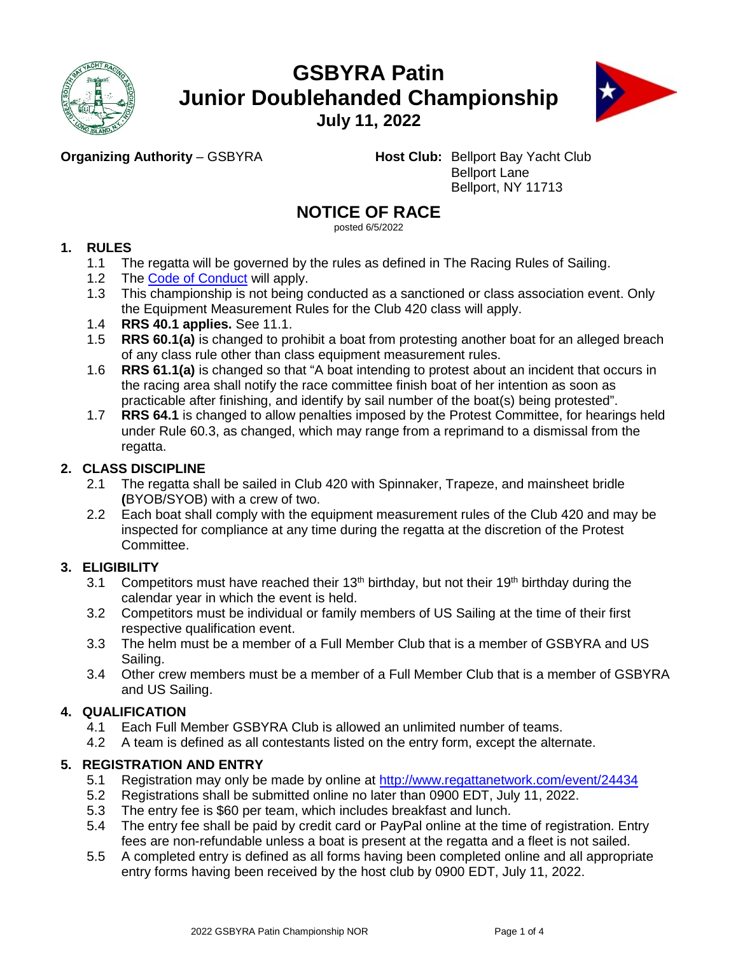

# **GSBYRA Patin Junior Doublehanded Championship**



**July 11, 2022**

**Organizing Authority – GSBYRA Host Club:** Bellport Bay Yacht Club Bellport Lane Bellport, NY 11713

# **NOTICE OF RACE**

posted 6/5/2022

# **1. RULES**

- 1.1 The regatta will be governed by the rules as defined in The Racing Rules of Sailing.
- 1.2 The [Code of Conduct](https://www.ussailing.org/wp-content/uploads/2018/01/FinalChampionships_CodeofConduct3-21-17.pdf) will apply.
- 1.3 This championship is not being conducted as a sanctioned or class association event. Only the Equipment Measurement Rules for the Club 420 class will apply.
- 1.4 **RRS 40.1 applies.** See 11.1.
- 1.5 **RRS 60.1(a)** is changed to prohibit a boat from protesting another boat for an alleged breach of any class rule other than class equipment measurement rules.
- 1.6 **RRS 61.1(a)** is changed so that "A boat intending to protest about an incident that occurs in the racing area shall notify the race committee finish boat of her intention as soon as practicable after finishing, and identify by sail number of the boat(s) being protested".
- 1.7 **RRS 64.1** is changed to allow penalties imposed by the Protest Committee, for hearings held under Rule 60.3, as changed, which may range from a reprimand to a dismissal from the regatta.

# **2. CLASS DISCIPLINE**

- 2.1 The regatta shall be sailed in Club 420 with Spinnaker, Trapeze, and mainsheet bridle **(**BYOB/SYOB) with a crew of two.
- 2.2 Each boat shall comply with the equipment measurement rules of the Club 420 and may be inspected for compliance at any time during the regatta at the discretion of the Protest Committee.

# **3. ELIGIBILITY**

- 3.1 Competitors must have reached their  $13<sup>th</sup>$  birthday, but not their  $19<sup>th</sup>$  birthday during the calendar year in which the event is held.
- 3.2 Competitors must be individual or family members of US Sailing at the time of their first respective qualification event.
- 3.3 The helm must be a member of a Full Member Club that is a member of GSBYRA and US Sailing.
- 3.4 Other crew members must be a member of a Full Member Club that is a member of GSBYRA and US Sailing.

# **4. QUALIFICATION**

- 4.1 Each Full Member GSBYRA Club is allowed an unlimited number of teams.
- 4.2 A team is defined as all contestants listed on the entry form, except the alternate.

# **5. REGISTRATION AND ENTRY**

- 5.1 Registration may only be made by online at [http://www.regattanetwork.com/event/2](http://www.regattanetwork.com/event/18824)4434<br>5.2 Registrations shall be submitted online no later than 0900 EDT, July 11, 2022.
- 5.2 Registrations shall be submitted online no later than 0900 EDT, July 11, 2022.
- 5.3 The entry fee is \$60 per team, which includes breakfast and lunch.
- 5.4 The entry fee shall be paid by credit card or PayPal online at the time of registration. Entry fees are non-refundable unless a boat is present at the regatta and a fleet is not sailed.
- 5.5 A completed entry is defined as all forms having been completed online and all appropriate entry forms having been received by the host club by 0900 EDT, July 11, 2022.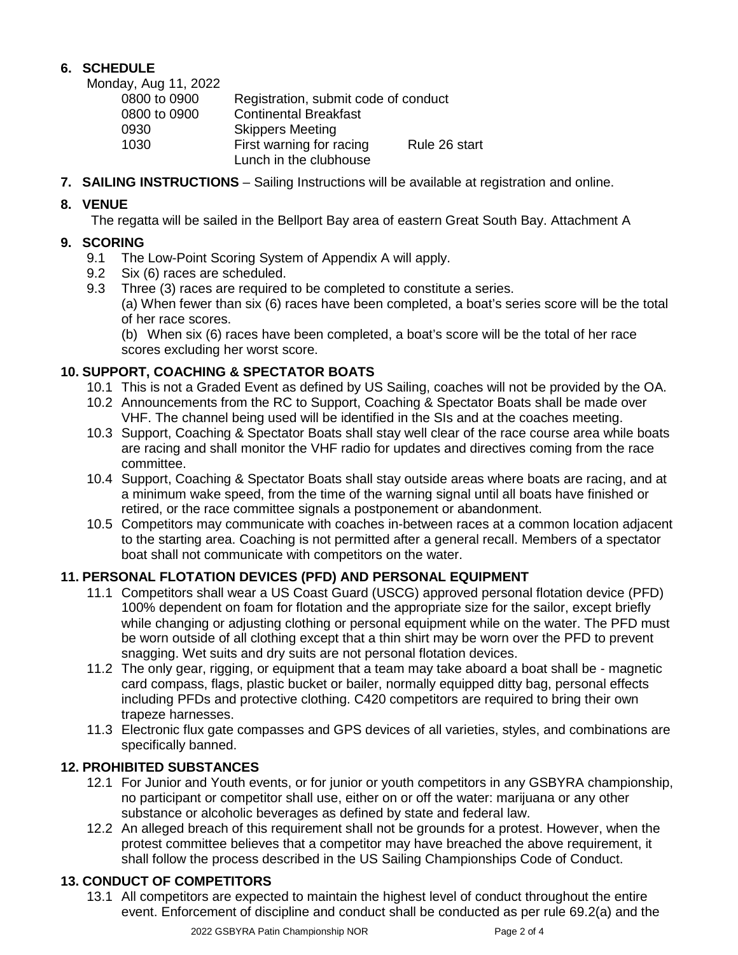## **6. SCHEDULE**

Monday, Aug 11, 2022

| Registration, submit code of conduct |               |
|--------------------------------------|---------------|
| <b>Continental Breakfast</b>         |               |
| <b>Skippers Meeting</b>              |               |
| First warning for racing             | Rule 26 start |
| Lunch in the clubhouse               |               |
|                                      |               |

**7. SAILING INSTRUCTIONS** – Sailing Instructions will be available at registration and online.

## **8. VENUE**

The regatta will be sailed in the Bellport Bay area of eastern Great South Bay. Attachment A

# **9. SCORING**

- The Low-Point Scoring System of Appendix A will apply.
- 9.2 Six (6) races are scheduled.
- 9.3 Three (3) races are required to be completed to constitute a series. (a) When fewer than six (6) races have been completed, a boat's series score will be the total of her race scores.

(b) When six (6) races have been completed, a boat's score will be the total of her race scores excluding her worst score.

# **10. SUPPORT, COACHING & SPECTATOR BOATS**

- 10.1 This is not a Graded Event as defined by US Sailing, coaches will not be provided by the OA.
- 10.2 Announcements from the RC to Support, Coaching & Spectator Boats shall be made over VHF. The channel being used will be identified in the SIs and at the coaches meeting.
- 10.3 Support, Coaching & Spectator Boats shall stay well clear of the race course area while boats are racing and shall monitor the VHF radio for updates and directives coming from the race committee.
- 10.4 Support, Coaching & Spectator Boats shall stay outside areas where boats are racing, and at a minimum wake speed, from the time of the warning signal until all boats have finished or retired, or the race committee signals a postponement or abandonment.
- 10.5 Competitors may communicate with coaches in-between races at a common location adjacent to the starting area. Coaching is not permitted after a general recall. Members of a spectator boat shall not communicate with competitors on the water.

## **11. PERSONAL FLOTATION DEVICES (PFD) AND PERSONAL EQUIPMENT**

- 11.1 Competitors shall wear a US Coast Guard (USCG) approved personal flotation device (PFD) 100% dependent on foam for flotation and the appropriate size for the sailor, except briefly while changing or adjusting clothing or personal equipment while on the water. The PFD must be worn outside of all clothing except that a thin shirt may be worn over the PFD to prevent snagging. Wet suits and dry suits are not personal flotation devices.
- 11.2 The only gear, rigging, or equipment that a team may take aboard a boat shall be magnetic card compass, flags, plastic bucket or bailer, normally equipped ditty bag, personal effects including PFDs and protective clothing. C420 competitors are required to bring their own trapeze harnesses.
- 11.3 Electronic flux gate compasses and GPS devices of all varieties, styles, and combinations are specifically banned.

## **12. PROHIBITED SUBSTANCES**

- 12.1 For Junior and Youth events, or for junior or youth competitors in any GSBYRA championship, no participant or competitor shall use, either on or off the water: marijuana or any other substance or alcoholic beverages as defined by state and federal law.
- 12.2 An alleged breach of this requirement shall not be grounds for a protest. However, when the protest committee believes that a competitor may have breached the above requirement, it shall follow the process described in the US Sailing Championships Code of Conduct.

# **13. CONDUCT OF COMPETITORS**

13.1 All competitors are expected to maintain the highest level of conduct throughout the entire event. Enforcement of discipline and conduct shall be conducted as per rule 69.2(a) and the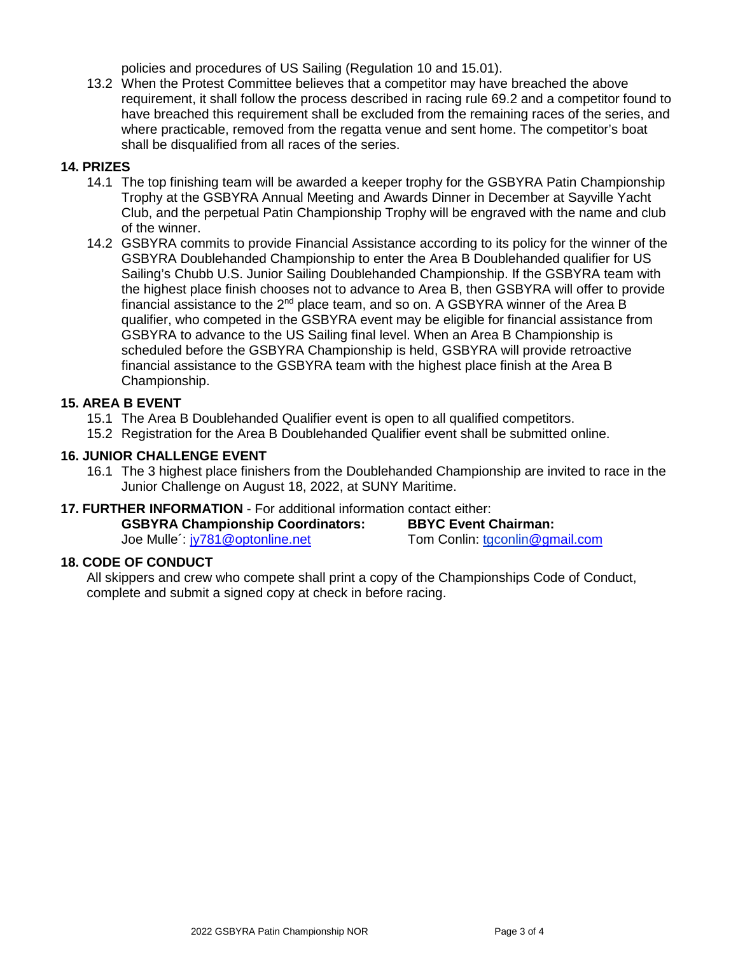policies and procedures of US Sailing (Regulation 10 and 15.01).

13.2 When the Protest Committee believes that a competitor may have breached the above requirement, it shall follow the process described in racing rule 69.2 and a competitor found to have breached this requirement shall be excluded from the remaining races of the series, and where practicable, removed from the regatta venue and sent home. The competitor's boat shall be disqualified from all races of the series.

## **14. PRIZES**

- 14.1 The top finishing team will be awarded a keeper trophy for the GSBYRA Patin Championship Trophy at the GSBYRA Annual Meeting and Awards Dinner in December at Sayville Yacht Club, and the perpetual Patin Championship Trophy will be engraved with the name and club of the winner.
- 14.2 GSBYRA commits to provide Financial Assistance according to its policy for the winner of the GSBYRA Doublehanded Championship to enter the Area B Doublehanded qualifier for US Sailing's Chubb U.S. Junior Sailing Doublehanded Championship. If the GSBYRA team with the highest place finish chooses not to advance to Area B, then GSBYRA will offer to provide financial assistance to the  $2^{nd}$  place team, and so on. A GSBYRA winner of the Area B qualifier, who competed in the GSBYRA event may be eligible for financial assistance from GSBYRA to advance to the US Sailing final level. When an Area B Championship is scheduled before the GSBYRA Championship is held, GSBYRA will provide retroactive financial assistance to the GSBYRA team with the highest place finish at the Area B Championship.

## **15. AREA B EVENT**

- 15.1 The Area B Doublehanded Qualifier event is open to all qualified competitors.
- 15.2 Registration for the Area B Doublehanded Qualifier event shall be submitted online.

### **16. JUNIOR CHALLENGE EVENT**

16.1 The 3 highest place finishers from the Doublehanded Championship are invited to race in the Junior Challenge on August 18, 2022, at SUNY Maritime.

### **17. FURTHER INFORMATION** - For additional information contact either:

| <b>GSBYRA Championship Coordinators:</b> | <b>BBYC Event Chairman:</b>    |
|------------------------------------------|--------------------------------|
| Joe Mulle iv781@optonline.net            | Tom Conlin: tgconlin@gmail.com |

### **18. CODE OF CONDUCT**

All skippers and crew who compete shall print a copy of the Championships Code of Conduct, complete and submit a signed copy at check in before racing.